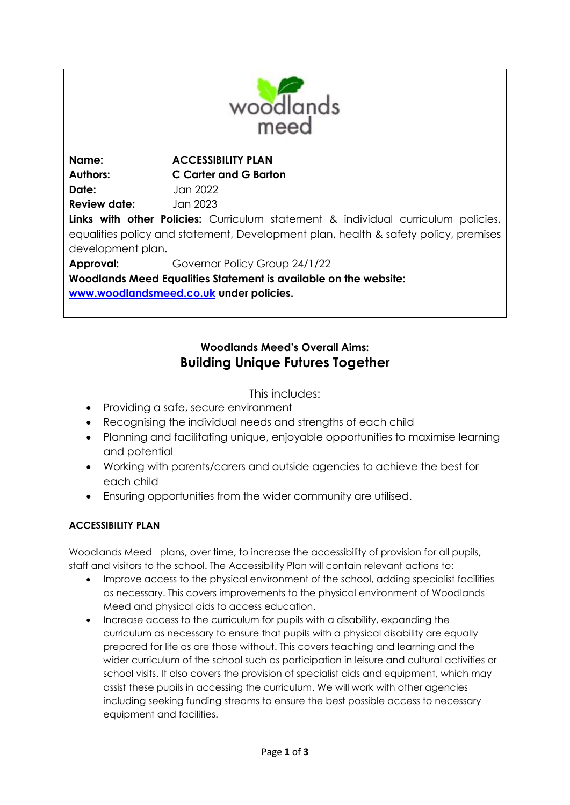

**Name: ACCESSIBILITY PLAN Authors: C Carter and G Barton Date:** Jan 2022 **Review date:** Jan 2023 **Links with other Policies:** Curriculum statement & individual curriculum policies, equalities policy and statement, Development plan, health & safety policy, premises development plan. **Approval:** Governor Policy Group 24/1/22 **Woodlands Meed Equalities Statement is available on the website: [www.woodlandsmeed.co.uk](http://www.woodlandsmeed.co.uk/) under policies.** 

## **Woodlands Meed's Overall Aims:**

## **Building Unique Futures Together**

This includes:

- Providing a safe, secure environment
- Recognising the individual needs and strengths of each child
- Planning and facilitating unique, enjoyable opportunities to maximise learning and potential
- Working with parents/carers and outside agencies to achieve the best for each child
- Ensuring opportunities from the wider community are utilised.

## **ACCESSIBILITY PLAN**

Woodlands Meed plans, over time, to increase the accessibility of provision for all pupils, staff and visitors to the school. The Accessibility Plan will contain relevant actions to:

- Improve access to the physical environment of the school, adding specialist facilities as necessary. This covers improvements to the physical environment of Woodlands Meed and physical aids to access education.
- Increase access to the curriculum for pupils with a disability, expanding the curriculum as necessary to ensure that pupils with a physical disability are equally prepared for life as are those without. This covers teaching and learning and the wider curriculum of the school such as participation in leisure and cultural activities or school visits. It also covers the provision of specialist aids and equipment, which may assist these pupils in accessing the curriculum. We will work with other agencies including seeking funding streams to ensure the best possible access to necessary equipment and facilities.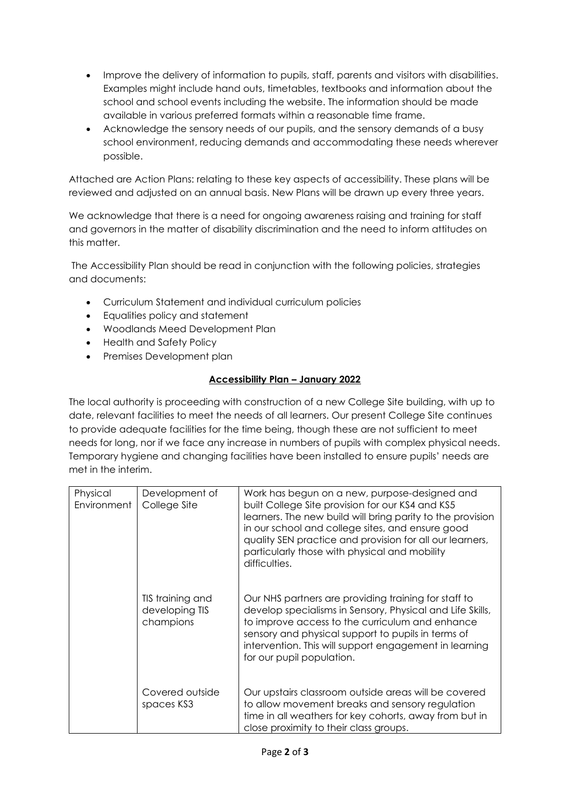- Improve the delivery of information to pupils, staff, parents and visitors with disabilities. Examples might include hand outs, timetables, textbooks and information about the school and school events including the website. The information should be made available in various preferred formats within a reasonable time frame.
- Acknowledge the sensory needs of our pupils, and the sensory demands of a busy school environment, reducing demands and accommodating these needs wherever possible.

Attached are Action Plans: relating to these key aspects of accessibility. These plans will be reviewed and adjusted on an annual basis. New Plans will be drawn up every three years.

We acknowledge that there is a need for ongoing awareness raising and training for staff and governors in the matter of disability discrimination and the need to inform attitudes on this matter.

The Accessibility Plan should be read in conjunction with the following policies, strategies and documents:

- Curriculum Statement and individual curriculum policies
- Equalities policy and statement
- Woodlands Meed Development Plan
- Health and Safety Policy
- Premises Development plan

## **Accessibility Plan – January 2022**

The local authority is proceeding with construction of a new College Site building, with up to date, relevant facilities to meet the needs of all learners. Our present College Site continues to provide adequate facilities for the time being, though these are not sufficient to meet needs for long, nor if we face any increase in numbers of pupils with complex physical needs. Temporary hygiene and changing facilities have been installed to ensure pupils' needs are met in the interim.

| Physical<br>Environment | Development of<br>College Site                  | Work has begun on a new, purpose-designed and<br>built College Site provision for our KS4 and KS5<br>learners. The new build will bring parity to the provision<br>in our school and college sites, and ensure good<br>quality SEN practice and provision for all our learners,<br>particularly those with physical and mobility<br>difficulties. |
|-------------------------|-------------------------------------------------|---------------------------------------------------------------------------------------------------------------------------------------------------------------------------------------------------------------------------------------------------------------------------------------------------------------------------------------------------|
|                         | TIS training and<br>developing TIS<br>champions | Our NHS partners are providing training for staff to<br>develop specialisms in Sensory, Physical and Life Skills,<br>to improve access to the curriculum and enhance<br>sensory and physical support to pupils in terms of<br>intervention. This will support engagement in learning<br>for our pupil population.                                 |
|                         | Covered outside<br>spaces KS3                   | Our upstairs classroom outside areas will be covered<br>to allow movement breaks and sensory regulation<br>time in all weathers for key cohorts, away from but in<br>close proximity to their class groups.                                                                                                                                       |